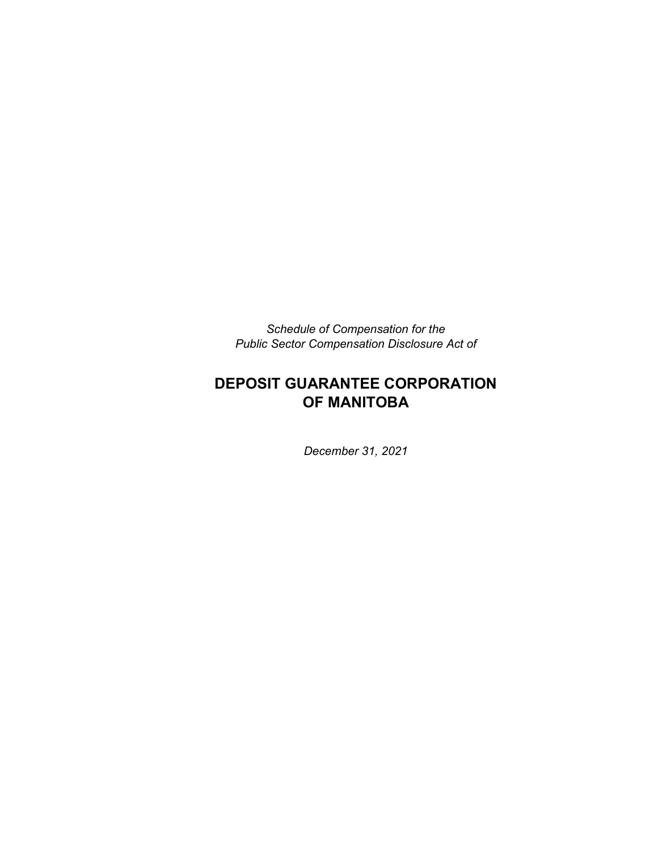*Schedule of Compensation for the Public Sector Compensation Disclosure Act of*

# **DEPOSIT GUARANTEE CORPORATION OF MANITOBA**

*December 31, 2021*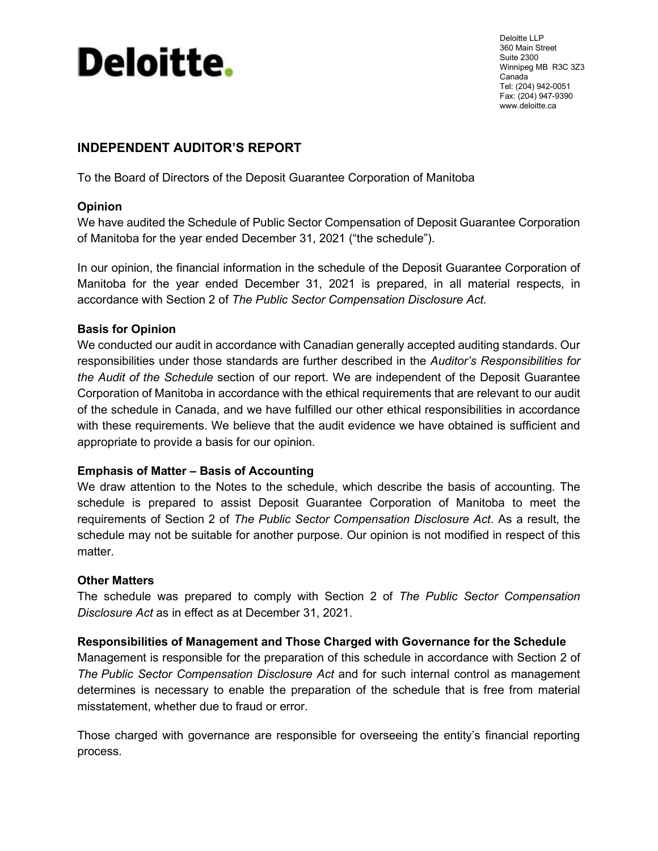# Deloitte.

Deloitte LLP 360 Main Street Suite 2300 Winnipeg MB R3C 3Z3 Canada Tel: (204) 942-0051 Fax: (204) 947-9390 www.deloitte.ca

# **INDEPENDENT AUDITOR'S REPORT**

To the Board of Directors of the Deposit Guarantee Corporation of Manitoba

## **Opinion**

We have audited the Schedule of Public Sector Compensation of Deposit Guarantee Corporation of Manitoba for the year ended December 31, 2021 ("the schedule").

In our opinion, the financial information in the schedule of the Deposit Guarantee Corporation of Manitoba for the year ended December 31, 2021 is prepared, in all material respects, in accordance with Section 2 of *The Public Sector Compensation Disclosure Act.*

### **Basis for Opinion**

We conducted our audit in accordance with Canadian generally accepted auditing standards. Our responsibilities under those standards are further described in the *Auditor's Responsibilities for the Audit of the Schedule* section of our report. We are independent of the Deposit Guarantee Corporation of Manitoba in accordance with the ethical requirements that are relevant to our audit of the schedule in Canada, and we have fulfilled our other ethical responsibilities in accordance with these requirements. We believe that the audit evidence we have obtained is sufficient and appropriate to provide a basis for our opinion.

#### **Emphasis of Matter – Basis of Accounting**

We draw attention to the Notes to the schedule, which describe the basis of accounting. The schedule is prepared to assist Deposit Guarantee Corporation of Manitoba to meet the requirements of Section 2 of *The Public Sector Compensation Disclosure Act*. As a result, the schedule may not be suitable for another purpose. Our opinion is not modified in respect of this matter.

#### **Other Matters**

The schedule was prepared to comply with Section 2 of *The Public Sector Compensation Disclosure Act* as in effect as at December 31, 2021.

#### **Responsibilities of Management and Those Charged with Governance for the Schedule**

Management is responsible for the preparation of this schedule in accordance with Section 2 of *The Public Sector Compensation Disclosure Act* and for such internal control as management determines is necessary to enable the preparation of the schedule that is free from material misstatement, whether due to fraud or error.

Those charged with governance are responsible for overseeing the entity's financial reporting process.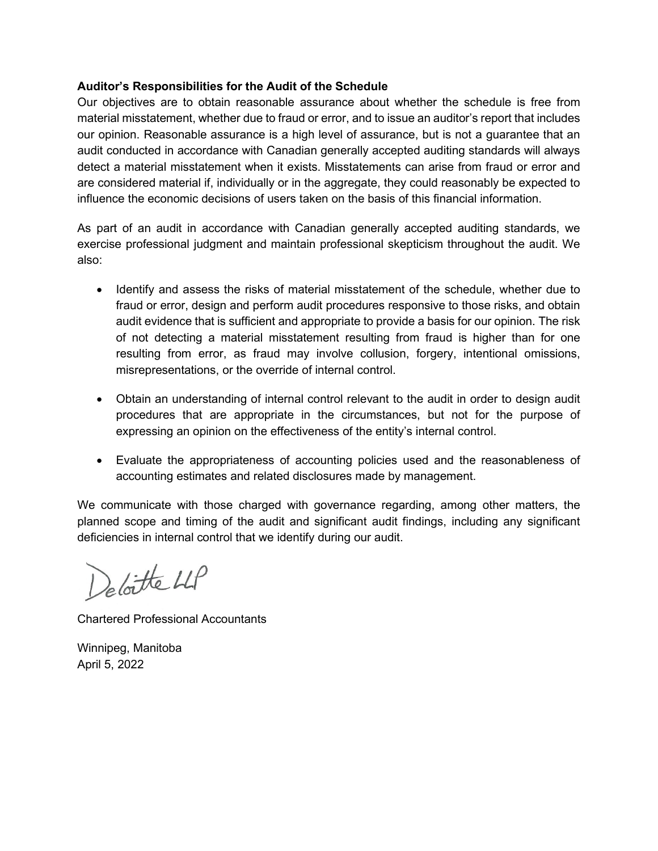#### **Auditor's Responsibilities for the Audit of the Schedule**

Our objectives are to obtain reasonable assurance about whether the schedule is free from material misstatement, whether due to fraud or error, and to issue an auditor's report that includes our opinion. Reasonable assurance is a high level of assurance, but is not a guarantee that an audit conducted in accordance with Canadian generally accepted auditing standards will always detect a material misstatement when it exists. Misstatements can arise from fraud or error and are considered material if, individually or in the aggregate, they could reasonably be expected to influence the economic decisions of users taken on the basis of this financial information.

As part of an audit in accordance with Canadian generally accepted auditing standards, we exercise professional judgment and maintain professional skepticism throughout the audit. We also:

- Identify and assess the risks of material misstatement of the schedule, whether due to fraud or error, design and perform audit procedures responsive to those risks, and obtain audit evidence that is sufficient and appropriate to provide a basis for our opinion. The risk of not detecting a material misstatement resulting from fraud is higher than for one resulting from error, as fraud may involve collusion, forgery, intentional omissions, misrepresentations, or the override of internal control.
- Obtain an understanding of internal control relevant to the audit in order to design audit procedures that are appropriate in the circumstances, but not for the purpose of expressing an opinion on the effectiveness of the entity's internal control.
- Evaluate the appropriateness of accounting policies used and the reasonableness of accounting estimates and related disclosures made by management.

We communicate with those charged with governance regarding, among other matters, the planned scope and timing of the audit and significant audit findings, including any significant deficiencies in internal control that we identify during our audit.

Deloitte LLP

Chartered Professional Accountants

Winnipeg, Manitoba April 5, 2022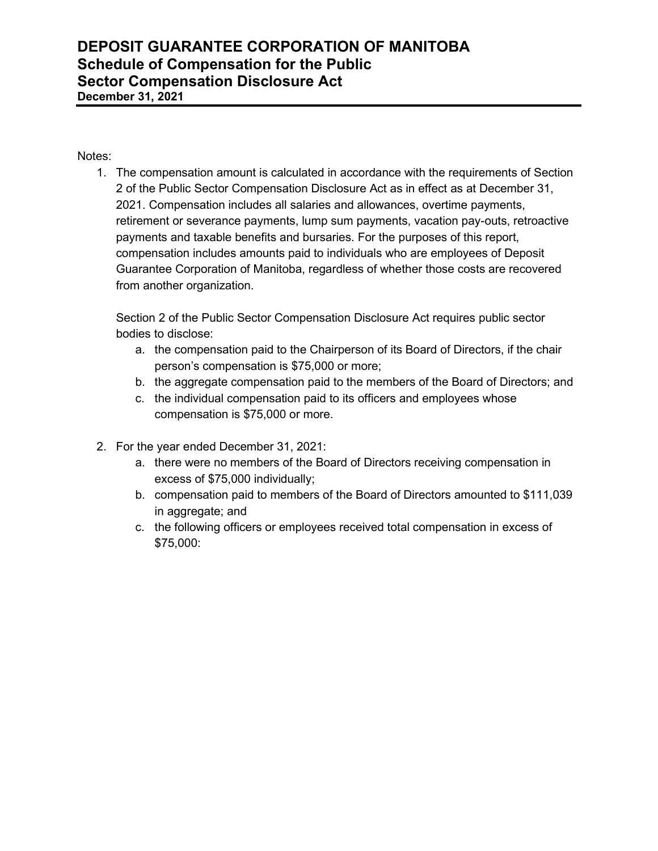#### Notes:

1. The compensation amount is calculated in accordance with the requirements of Section 2 of the Public Sector Compensation Disclosure Act as in effect as at December 31, 2021. Compensation includes all salaries and allowances, overtime payments, retirement or severance payments, lump sum payments, vacation pay-outs, retroactive payments and taxable benefits and bursaries. For the purposes of this report, compensation includes amounts paid to individuals who are employees of Deposit Guarantee Corporation of Manitoba, regardless of whether those costs are recovered from another organization.

Section 2 of the Public Sector Compensation Disclosure Act requires public sector bodies to disclose:

- a. the compensation paid to the Chairperson of its Board of Directors, if the chair person's compensation is \$75,000 or more;
- b. the aggregate compensation paid to the members of the Board of Directors; and
- c. the individual compensation paid to its officers and employees whose compensation is \$75,000 or more.
- 2. For the year ended December 31, 2021:
	- a. there were no members of the Board of Directors receiving compensation in excess of \$75,000 individually;
	- b. compensation paid to members of the Board of Directors amounted to \$111,039 in aggregate; and
	- c. the following officers or employees received total compensation in excess of \$75,000: